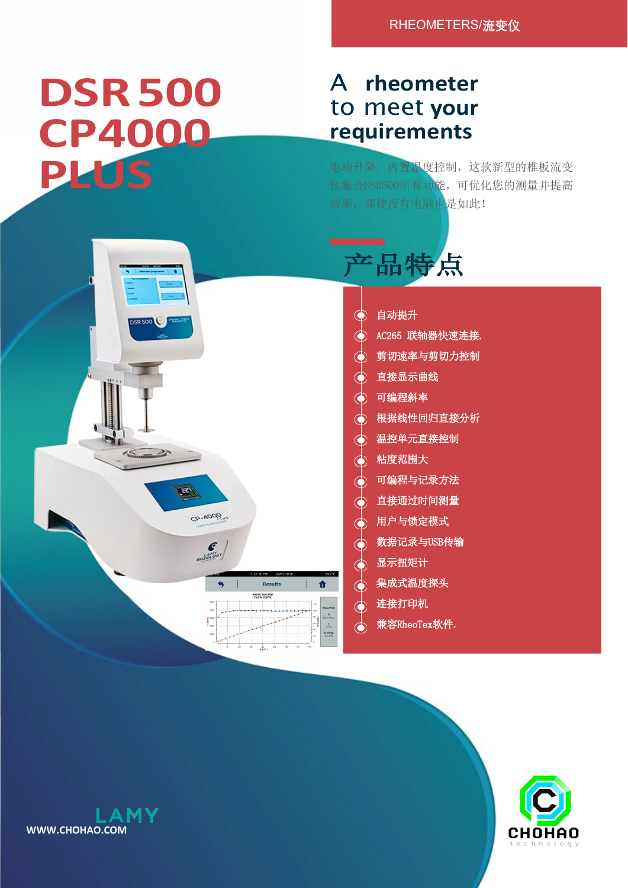## **DSR500 CP4000 PLUS**

## A **rheometer**  to meet **your requirements**

电动升降, 内置温度控制,这款新型的椎板流变 仪集合DSR500所有功能,可优化您的测量并提高 效率,即使没有电脑也是如此!





- 自动提升
- AC265 联轴器快速连接.
- 剪切速率与剪切力控制
- 直接显示曲线
- 可编程斜率
- 根据线性回归直接分析
- 温控单元直接控制
- 粘度范围大
- 可编程与记录方法
- 直接通过时间测量
- 用户与锁定模式
- 数据记录与USB传输
- 显示扭矩计
- 集成式温度探头
- 连接打印机
- 兼容RheoTex软件**.**